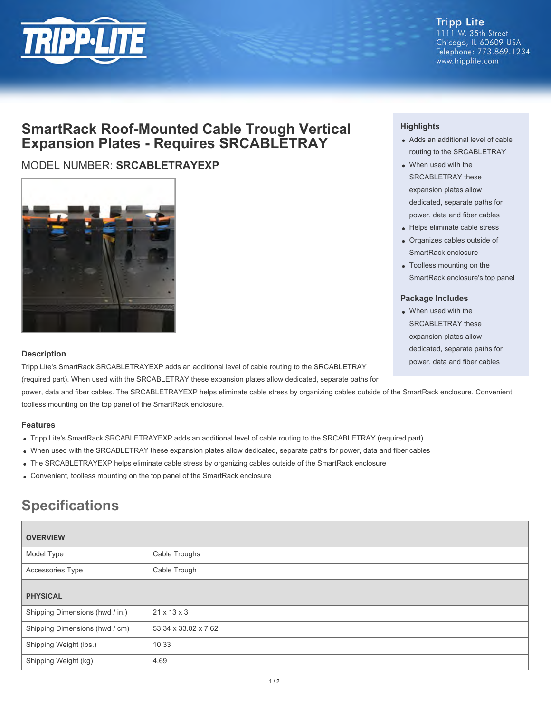

#### **Tripp Lite** 1111 W. 35th Street Chicago, IL 60609 USA Telephone: 773.869.1234 www.tripplite.com

## **SmartRack Roof-Mounted Cable Trough Vertical Expansion Plates - Requires SRCABLETRAY**

### MODEL NUMBER: **SRCABLETRAYEXP**



#### **Highlights**

- Adds an additional level of cable routing to the SRCABLETRAY
- When used with the SRCABLETRAY these expansion plates allow dedicated, separate paths for power, data and fiber cables
- Helps eliminate cable stress
- Organizes cables outside of SmartRack enclosure
- Toolless mounting on the SmartRack enclosure's top panel

#### **Package Includes**

When used with the SRCABLETRAY these expansion plates allow dedicated, separate paths for power, data and fiber cables

#### **Description**

Tripp Lite's SmartRack SRCABLETRAYEXP adds an additional level of cable routing to the SRCABLETRAY (required part). When used with the SRCABLETRAY these expansion plates allow dedicated, separate paths for

power, data and fiber cables. The SRCABLETRAYEXP helps eliminate cable stress by organizing cables outside of the SmartRack enclosure. Convenient, toolless mounting on the top panel of the SmartRack enclosure.

#### **Features**

- Tripp Lite's SmartRack SRCABLETRAYEXP adds an additional level of cable routing to the SRCABLETRAY (required part)
- When used with the SRCABLETRAY these expansion plates allow dedicated, separate paths for power, data and fiber cables
- The SRCABLETRAYEXP helps eliminate cable stress by organizing cables outside of the SmartRack enclosure
- Convenient, toolless mounting on the top panel of the SmartRack enclosure

# **Specifications**

| <b>OVERVIEW</b>                 |                         |  |
|---------------------------------|-------------------------|--|
| Model Type                      | Cable Troughs           |  |
| Accessories Type                | Cable Trough            |  |
| <b>PHYSICAL</b>                 |                         |  |
| Shipping Dimensions (hwd / in.) | $21 \times 13 \times 3$ |  |
| Shipping Dimensions (hwd / cm)  | 53.34 x 33.02 x 7.62    |  |
| Shipping Weight (lbs.)          | 10.33                   |  |
| Shipping Weight (kg)            | 4.69                    |  |